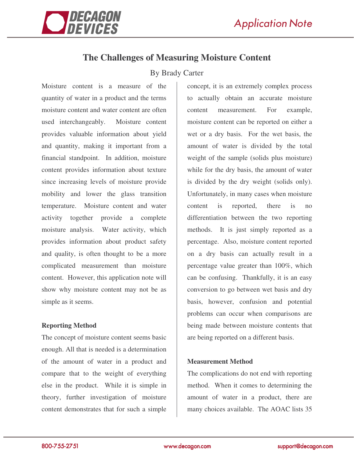

# **The Challenges of Measuring Moisture Content**

## By Brady Carter

Moisture content is a measure of the quantity of water in a product and the terms moisture content and water content are often used interchangeably. Moisture content provides valuable information about yield and quantity, making it important from a financial standpoint. In addition, moisture content provides information about texture since increasing levels of moisture provide mobility and lower the glass transition temperature. Moisture content and water activity together provide a complete moisture analysis. Water activity, which provides information about product safety and quality, is often thought to be a more complicated measurement than moisture content. However, this application note will show why moisture content may not be as simple as it seems.

### **Reporting Method**

The concept of moisture content seems basic enough. All that is needed is a determination of the amount of water in a product and compare that to the weight of everything else in the product. While it is simple in theory, further investigation of moisture content demonstrates that for such a simple

concept, it is an extremely complex process to actually obtain an accurate moisture content measurement. For example, moisture content can be reported on either a wet or a dry basis. For the wet basis, the amount of water is divided by the total weight of the sample (solids plus moisture) while for the dry basis, the amount of water is divided by the dry weight (solids only). Unfortunately, in many cases when moisture content is reported, there is no differentiation between the two reporting methods. It is just simply reported as a percentage. Also, moisture content reported on a dry basis can actually result in a percentage value greater than 100%, which can be confusing. Thankfully, it is an easy conversion to go between wet basis and dry basis, however, confusion and potential problems can occur when comparisons are being made between moisture contents that are being reported on a different basis.

### **Measurement Method**

The complications do not end with reporting method. When it comes to determining the amount of water in a product, there are many choices available. The AOAC lists 35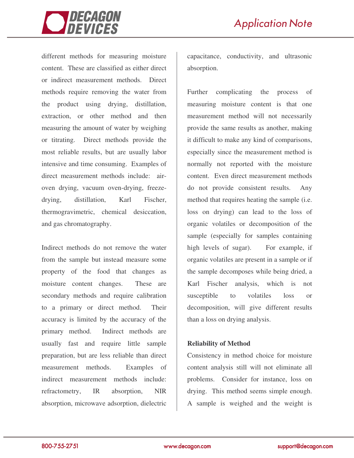

different methods for measuring moisture content. These are classified as either direct or indirect measurement methods. Direct methods require removing the water from the product using drying, distillation, extraction, or other method and then measuring the amount of water by weighing or titrating. Direct methods provide the most reliable results, but are usually labor intensive and time consuming. Examples of direct measurement methods include: airoven drying, vacuum oven-drying, freezedrying, distillation, Karl Fischer, thermogravimetric, chemical desiccation, and gas chromatography.

Indirect methods do not remove the water from the sample but instead measure some property of the food that changes as moisture content changes. These are secondary methods and require calibration to a primary or direct method. Their accuracy is limited by the accuracy of the primary method. Indirect methods are usually fast and require little sample preparation, but are less reliable than direct measurement methods. Examples of indirect measurement methods include: refractometry, IR absorption, NIR absorption, microwave adsorption, dielectric

capacitance, conductivity, and ultrasonic absorption.

Further complicating the process of measuring moisture content is that one measurement method will not necessarily provide the same results as another, making it difficult to make any kind of comparisons, especially since the measurement method is normally not reported with the moisture content. Even direct measurement methods do not provide consistent results. Any method that requires heating the sample (i.e. loss on drying) can lead to the loss of organic volatiles or decomposition of the sample (especially for samples containing high levels of sugar). For example, if organic volatiles are present in a sample or if the sample decomposes while being dried, a Karl Fischer analysis, which is not susceptible to volatiles loss or decomposition, will give different results than a loss on drying analysis.

### **Reliability of Method**

Consistency in method choice for moisture content analysis still will not eliminate all problems. Consider for instance, loss on drying. This method seems simple enough. A sample is weighed and the weight is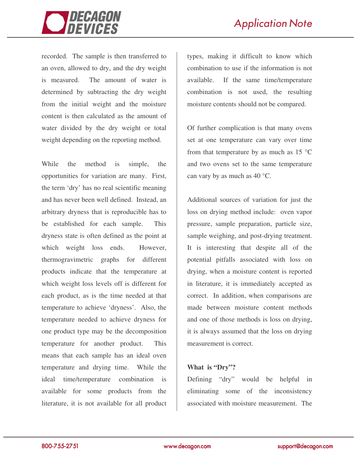

recorded. The sample is then transferred to an oven, allowed to dry, and the dry weight is measured. The amount of water is determined by subtracting the dry weight from the initial weight and the moisture content is then calculated as the amount of water divided by the dry weight or total weight depending on the reporting method.

While the method is simple, the opportunities for variation are many. First, the term 'dry' has no real scientific meaning and has never been well defined. Instead, an arbitrary dryness that is reproducible has to be established for each sample. This dryness state is often defined as the point at which weight loss ends. However, thermogravimetric graphs for different products indicate that the temperature at which weight loss levels off is different for each product, as is the time needed at that temperature to achieve 'dryness'. Also, the temperature needed to achieve dryness for one product type may be the decomposition temperature for another product. This means that each sample has an ideal oven temperature and drying time. While the ideal time/temperature combination is available for some products from the literature, it is not available for all product

types, making it difficult to know which combination to use if the information is not available. If the same time/temperature combination is not used, the resulting moisture contents should not be compared.

Of further complication is that many ovens set at one temperature can vary over time from that temperature by as much as  $15 \text{ °C}$ and two ovens set to the same temperature can vary by as much as 40 °C.

Additional sources of variation for just the loss on drying method include: oven vapor pressure, sample preparation, particle size, sample weighing, and post-drying treatment. It is interesting that despite all of the potential pitfalls associated with loss on drying, when a moisture content is reported in literature, it is immediately accepted as correct. In addition, when comparisons are made between moisture content methods and one of those methods is loss on drying, it is always assumed that the loss on drying measurement is correct.

### **What is "Dry"?**

Defining "dry" would be helpful in eliminating some of the inconsistency associated with moisture measurement. The